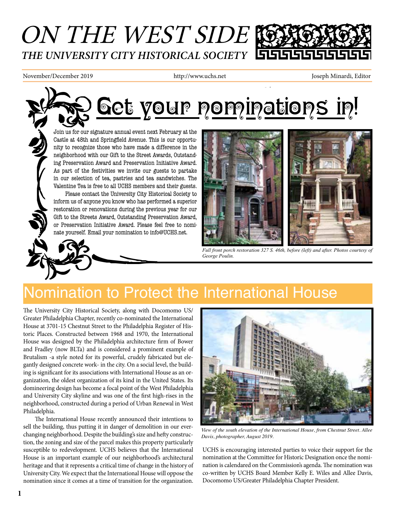## ON THE WEST SIDE *THE UNIVERSITY CITY HISTORICAL SOCIETY*

November/December 2019 http://www.uchs.net Joseph Minardi, Editor

# Get your pominations in!

Join us for our signature annual event next February at the Castle at 48th and Springfield Avenue. This is our opportu nity to recognize those who have made a difference in the neighborhood with our Gift to the Street Awards, Outstand ing Preservation Award and Preservation Initiative Award. As part of the festivities we invite our guests to partake in our selection of tea, pastries and tea sandwiches. The Valentine Tea is free to all UCHS members and their guests.

Please contact the University City Historical Society to inform us of anyone you know who has performed a superior restoration or renovations during the previous year for our Gift to the Streets Award, Outstanding Preservation Award, or Preservation Initiative Award. Please feel free to nominate yourself. Email your nomination to info@UCHS.net.



*Full front porch restoration 327 S. 46th, before (left) and after. Photos courtesy of George Poulin.*

## Nomination to Protect the International House

The University City Historical Society, along with Docomomo US/ Greater Philadelphia Chapter, recently co-nominated the International toric Places. Constructed between 1968 and 1970, the International House was designed by the Philadelphia architecture firm of Bower and Fradley (now BLTa) and is considered a prominent example of Brutalism -a style noted for its powerful, crudely fabricated but ele gantly designed concrete work- in the city. On a social level, the build ing is significant for its associations with International House as an or ganization, the oldest organization of its kind in the United States. Its domineering design has become a focal point of the West Philadelphia and University City skyline and was one of the first high-rises in the neighborhood, constructed during a period of Urban Renewal in West Philadelphia.

The International House recently announced their intentions to sell the building, thus putting it in danger of demolition in our everchanging neighborhood. Despite the building's size and hefty construction, the zoning and size of the parcel makes this property particularly susceptible to redevelopment. UCHS believes that the International House is an important example of our neighborhood's architectural heritage and that it represents a critical time of change in the history of University City. We expect that the International House will oppose the nomination since it comes at a time of transition for the organization.



*View of the south elevation of the International House, from Chestnut Street. Allee Davis, photographer, August 2019.*

UCHS is encouraging interested parties to voice their support for the nomination at the Committee for Historic Designation once the nomi nation is calendared on the Commission's agenda. The nomination was co-written by UCHS Board Member Kelly E. Wiles and Allee Davis, Docomomo US/Greater Philadelphia Chapter President.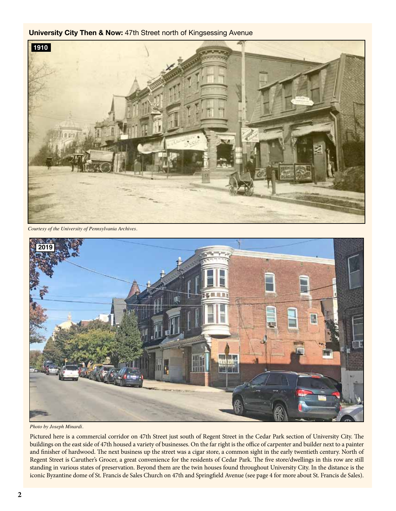#### **University City Then & Now:** 47th Street north of Kingsessing Avenue



*Courtesy of the University of Pennsylvania Archives.*



*Photo by Joseph Minardi.*

Pictured here is a commercial corridor on 47th Street just south of Regent Street in the Cedar Park section of University City. The buildings on the east side of 47th housed a variety of businesses. On the far right is the office of carpenter and builder next to a painter and finisher of hardwood. The next business up the street was a cigar store, a common sight in the early twentieth century. North of Regent Street is Caruther's Grocer, a great convenience for the residents of Cedar Park. The five store/dwellings in this row are still standing in various states of preservation. Beyond them are the twin houses found throughout University City. In the distance is the iconic Byzantine dome of St. Francis de Sales Church on 47th and Springfield Avenue (see page 4 for more about St. Francis de Sales).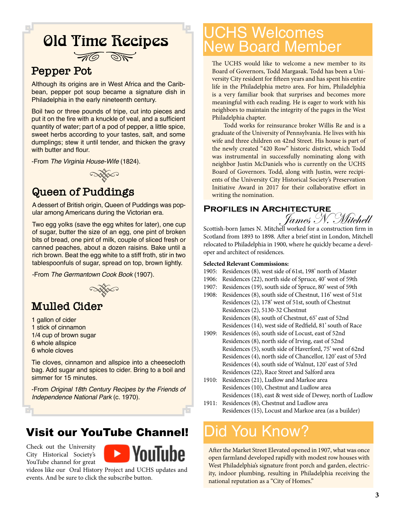# **Old Time Recipes**



### **Pepper Pot**

Although its origins are in West Africa and the Caribbean, pepper pot soup became a signature dish in Philadelphia in the early nineteenth century.

Boil two or three pounds of tripe, cut into pieces and put it on the fire with a knuckle of veal, and a sufficient quantity of water; part of a pod of pepper, a little spice, sweet herbs according to your tastes, salt, and some dumplings; stew it until tender, and thicken the gravy with butter and flour.

-From *The Virginia House-Wife* (1824).



### **Queen of Puddings**

A dessert of British origin, Queen of Puddings was popular among Americans during the Victorian era.

Two egg yolks (save the egg whites for later), one cup of sugar, butter the size of an egg, one pint of broken bits of bread, one pint of milk, couple of sliced fresh or canned peaches, about a dozen raisins. Bake until a rich brown. Beat the egg white to a stiff froth, stir in two tablespoonfuls of sugar, spread on top, brown lightly.

-From *The Germantown Cook Book* (1907).



#### **Mulled Cider**

- 1 gallon of cider 1 stick of cinnamon
- 1/4 cup of brown sugar
- 6 whole allspice
- 6 whole cloves

Tie cloves, cinnamon and allspice into a cheesecloth bag. Add sugar and spices to cider. Bring to a boil and simmer for 15 minutes.

-From *Original 18th Century Recipes by the Friends of Independence National Park* (c. 1970).

### Visit our YouTube Channel!

Check out the University City Historical Society's YouTube channel for great



videos like our Oral History Project and UCHS updates and events. And be sure to click the subscribe button.

## UCHS Welcomes New Board Member

The UCHS would like to welcome a new member to its Board of Governors, Todd Margasak. Todd has been a University City resident for fifteen years and has spent his entire life in the Philadelphia metro area. For him, Philadelphia is a very familiar book that surprises and becomes more meaningful with each reading. He is eager to work with his neighbors to maintain the integrity of the pages in the West Philadelphia chapter.

Todd works for reinsurance broker Willis Re and is a graduate of the University of Pennsylvania. He lives with his wife and three children on 42nd Street. His house is part of the newly created "420 Row" historic district, which Todd was instrumental in successfully nominating along with neighbor Justin McDaniels who is currently on the UCHS Board of Governors. Todd, along with Justin, were recipients of the University City Historical Society's Preservation Initiative Award in 2017 for their collaborative effort in writing the nomination.

#### **Profiles in Architecture**

*James N. Mitchell*<br>Scottish-born James N. Mitchell worked for a construction firm in

Scotland from 1893 to 1898. After a brief stint in London, Mitchell relocated to Philadelphia in 1900, where he quickly became a developer and architect of residences.

#### **Selected Relevant Commissions:**

- 1905: Residences (8), west side of 61st, 198' north of Master
- 1906: Residences (22), north side of Spruce, 40' west of 59th
- 1907: Residences (19), south side of Spruce, 80' west of 59th
- 1908: Residences (8), south side of Chestnut, 116' west of 51st Residences (2), 178' west of 51st, south of Chestnut Residences (2), 5130-32 Chestnut Residences (8), south of Chestnut, 65' east of 52nd Residences (14), west side of Redfield, 81' south of Race
- 1909: Residences (6), south side of Locust, east of 52nd Residences (8), north side of Irving, east of 52nd Residences (5), south side of Haverford, 75' west of 62nd Residences (4), north side of Chancellor, 120' east of 53rd Residences (4), south side of Walnut, 120' east of 53rd Residences (22), Race Street and Salford area
- 1910: Residences (21), Ludlow and Markoe area Residences (10), Chestnut and Ludlow area Residences (18), east & west side of Dewey, north of Ludlow
- 1911: Residences (8), Chestnut and Ludlow area Residences (15), Locust and Markoe area (as a builder)

## Did You Know?

After the Market Street Elevated opened in 1907, what was once open farmland developed rapidly with modest row houses with West Philadelphia's signature front porch and garden, electricity, indoor plumbing, resulting in Philadelphia receiving the national reputation as a "City of Homes."